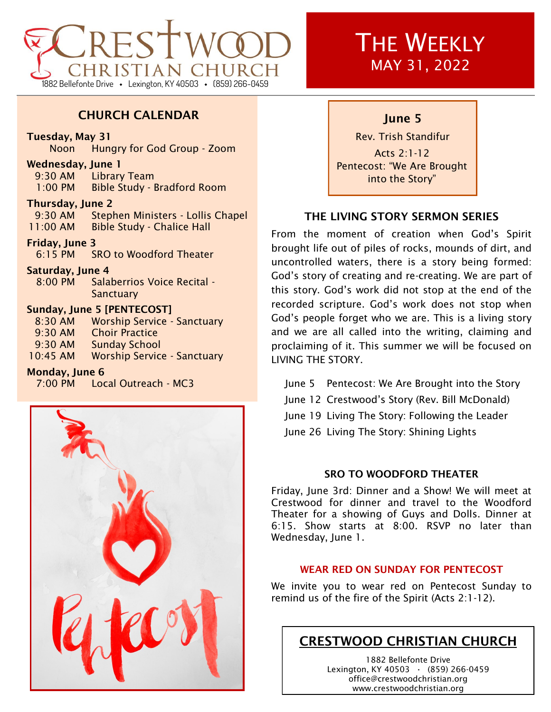

## CHURCH CALENDAR

### Tuesday, May 31

Noon Hungry for God Group - Zoom

#### Wednesday, June 1

9:30 AM Library Team 1:00 PM Bible Study - Bradford Room

## Thursday, June 2

9:30 AM Stephen Ministers - Lollis Chapel 11:00 AM Bible Study - Chalice Hall

### Friday, June 3

6:15 PM SRO to Woodford Theater

### Saturday, June 4

8:00 PM Salaberrios Voice Recital - **Sanctuary** 

## Sunday, June 5 [PENTECOST]

| 8:30 AM   | <b>Worship Service - Sanctuary</b> |
|-----------|------------------------------------|
| $9:30$ AM | <b>Choir Practice</b>              |
| 9:30 AM   | <b>Sunday School</b>               |
| 10:45 AM  | <b>Worship Service - Sanctuary</b> |

### Monday, June 6

7:00 PM Local Outreach - MC3



# **THE WEEKLY** MAY 31, 2022

## June 5

Rev. Trish Standifur Acts 2:1-12 Pentecost: "We Are Brought into the Story"

## THE LIVING STORY SERMON SERIES

From the moment of creation when God's Spirit brought life out of piles of rocks, mounds of dirt, and uncontrolled waters, there is a story being formed: God's story of creating and re-creating. We are part of this story. God's work did not stop at the end of the recorded scripture. God's work does not stop when God's people forget who we are. This is a living story and we are all called into the writing, claiming and proclaiming of it. This summer we will be focused on LIVING THE STORY.

June 5 Pentecost: We Are Brought into the Story June 12 Crestwood's Story (Rev. Bill McDonald) June 19 Living The Story: Following the Leader June 26 Living The Story: Shining Lights

## SRO TO WOODFORD THEATER

Friday, June 3rd: Dinner and a Show! We will meet at Crestwood for dinner and travel to the Woodford Theater for a showing of Guys and Dolls. Dinner at 6:15. Show starts at 8:00. RSVP no later than Wednesday, June 1.

## WEAR RED ON SUNDAY FOR PENTECOST

We invite you to wear red on Pentecost Sunday to remind us of the fire of the Spirit (Acts 2:1-12).

# CRESTWOOD CHRISTIAN CHURCH

1882 Bellefonte Drive Lexington, KY 40503 **·** (859) 266-0459 office@crestwoodchristian.org www.crestwoodchristian.org